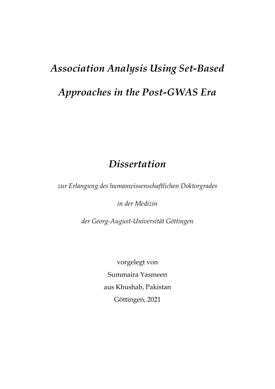# *Association Analysis Using Set-Based Approaches in the Post-GWAS Era*

# *Dissertation*

*zur Erlangung des humanwissenschaftlichen Doktorgrades* 

*in der Medizin*

*der Georg-August-Universität Göttingen*

vorgelegt von Summaira Yasmeen aus Khushab, Pakistan Göttingen, 2021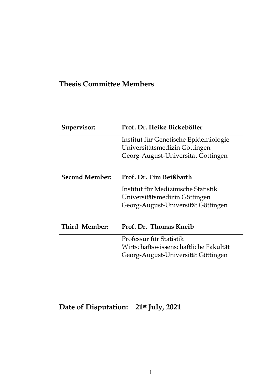# **Thesis Committee Members**

| Supervisor:           | Prof. Dr. Heike Bickeböller           |
|-----------------------|---------------------------------------|
|                       | Institut für Genetische Epidemiologie |
|                       | Universitätsmedizin Göttingen         |
|                       | Georg-August-Universität Göttingen    |
|                       |                                       |
| <b>Second Member:</b> | Prof. Dr. Tim Beißbarth               |
|                       | Institut für Medizinische Statistik   |
|                       | Universitätsmedizin Göttingen         |
|                       | Georg-August-Universität Göttingen    |
|                       |                                       |
| Third Member:         | Prof. Dr. Thomas Kneib                |
|                       | Professur für Statistik               |
|                       | Wirtschaftswissenschaftliche Fakultät |
|                       | Georg-August-Universität Göttingen    |
|                       |                                       |

**Date of Disputation: 21st July, 2021**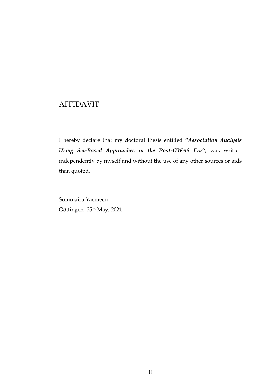# AFFIDAVIT

I hereby declare that my doctoral thesis entitled *"Association Analysis Using Set-Based Approaches in the Post-GWAS Era"*, was written independently by myself and without the use of any other sources or aids than quoted.

Summaira Yasmeen Göttingen- 25th May, 2021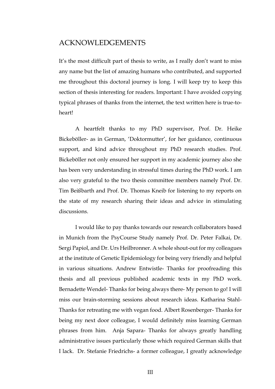# ACKNOWLEDGEMENTS

It's the most difficult part of thesis to write, as I really don't want to miss any name but the list of amazing humans who contributed, and supported me throughout this doctoral journey is long. I will keep try to keep this section of thesis interesting for readers. Important: I have avoided copying typical phrases of thanks from the internet, the text written here is true-toheart!

A heartfelt thanks to my PhD supervisor, Prof. Dr. Heike Bickeböller- as in German, 'Doktormutter', for her guidance, continuous support, and kind advice throughout my PhD research studies. Prof. Bickeböller not only ensured her support in my academic journey also she has been very understanding in stressful times during the PhD work. I am also very grateful to the two thesis committee members namely Prof. Dr. Tim Beißbarth and Prof. Dr. Thomas Kneib for listening to my reports on the state of my research sharing their ideas and advice in stimulating discussions.

I would like to pay thanks towards our research collaborators based in Munich from the PsyCourse Study namely Prof. Dr. Peter Falkai, Dr. Sergi Papiol, and Dr. Urs Heilbronner. A whole shout-out for my colleagues at the institute of Genetic Epidemiology for being very friendly and helpful in various situations. Andrew Entwistle- Thanks for proofreading this thesis and all previous published academic texts in my PhD work. Bernadette Wendel- Thanks for being always there- My person to go! I will miss our brain-storming sessions about research ideas. Katharina Stahl-Thanks for retreating me with vegan food. Albert Rosenberger- Thanks for being my next door colleague, I would definitely miss learning German phrases from him. Anja Sapara- Thanks for always greatly handling administrative issues particularly those which required German skills that I lack. Dr. Stefanie Friedrichs- a former colleague, I greatly acknowledge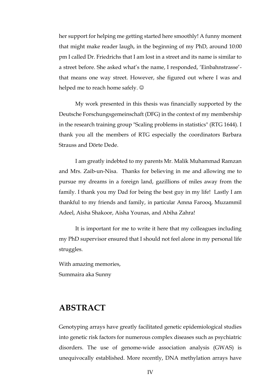her support for helping me getting started here smoothly! A funny moment that might make reader laugh, in the beginning of my PhD, around 10:00 pm I called Dr. Friedrichs that I am lost in a street and its name is similar to a street before. She asked what's the name, I responded, 'Einbahnstrasse' that means one way street. However, she figured out where I was and helped me to reach home safely.  $\odot$ 

My work presented in this thesis was financially supported by the Deutsche Forschungsgemeinschaft (DFG) in the context of my membership in the research training group "Scaling problems in statistics" (RTG 1644). I thank you all the members of RTG especially the coordinators Barbara Strauss and Dörte Dede.

I am greatly indebted to my parents Mr. Malik Muhammad Ramzan and Mrs. Zaib-un-Nisa. Thanks for believing in me and allowing me to pursue my dreams in a foreign land, gazillions of miles away from the family. I thank you my Dad for being the best guy in my life! Lastly I am thankful to my friends and family, in particular Amna Farooq, Muzammil Adeel, Aisha Shakoor, Aisha Younas, and Abiha Zahra!

It is important for me to write it here that my colleagues including my PhD supervisor ensured that I should not feel alone in my personal life struggles.

With amazing memories, Summaira aka Sunny

# **ABSTRACT**

Genotyping arrays have greatly facilitated genetic epidemiological studies into genetic risk factors for numerous complex diseases such as psychiatric disorders. The use of genome-wide association analysis (GWAS) is unequivocally established. More recently, DNA methylation arrays have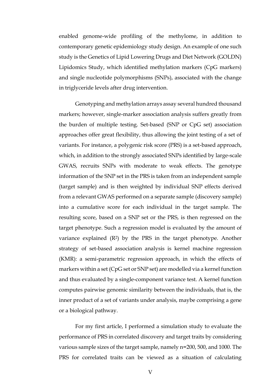enabled genome-wide profiling of the methylome, in addition to contemporary genetic epidemiology study design. An example of one such study is the Genetics of Lipid Lowering Drugs and Diet Network (GOLDN) Lipidomics Study, which identified methylation markers (CpG markers) and single nucleotide polymorphisms (SNPs), associated with the change in triglyceride levels after drug intervention.

Genotyping and methylation arrays assay several hundred thousand markers; however, single-marker association analysis suffers greatly from the burden of multiple testing. Set-based (SNP or CpG set) association approaches offer great flexibility, thus allowing the joint testing of a set of variants. For instance, a polygenic risk score (PRS) is a set-based approach, which, in addition to the strongly associated SNPs identified by large-scale GWAS, recruits SNPs with moderate to weak effects. The genotype information of the SNP set in the PRS is taken from an independent sample (target sample) and is then weighted by individual SNP effects derived from a relevant GWAS performed on a separate sample (discovery sample) into a cumulative score for each individual in the target sample. The resulting score, based on a SNP set or the PRS, is then regressed on the target phenotype. Such a regression model is evaluated by the amount of variance explained  $(R^2)$  by the PRS in the target phenotype. Another strategy of set-based association analysis is kernel machine regression (KMR): a semi-parametric regression approach, in which the effects of markers within a set (CpG set or SNP set) are modelled via a kernel function and thus evaluated by a single-component variance test. A kernel function computes pairwise genomic similarity between the individuals, that is, the inner product of a set of variants under analysis, maybe comprising a gene or a biological pathway.

For my first article, I performed a simulation study to evaluate the performance of PRS in correlated discovery and target traits by considering various sample sizes of the target sample, namely n=200, 500, and 1000. The PRS for correlated traits can be viewed as a situation of calculating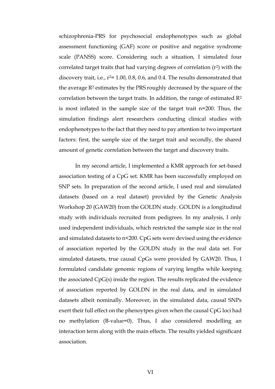schizophrenia-PRS for psychosocial endophenotypes such as global assessment functioning (GAF) score or positive and negative syndrome scale (PANSS) score. Considering such a situation, I simulated four correlated target traits that had varying degrees of correlation (r2) with the discovery trait, i.e.,  $r^2$ = 1.00, 0.8, 0.6, and 0.4. The results demonstrated that the average R<sup>2</sup> estimates by the PRS roughly decreased by the square of the correlation between the target traits. In addition, the range of estimated  $\mathbb{R}^2$ is most inflated in the sample size of the target trait n=200. Thus, the simulation findings alert researchers conducting clinical studies with endophenotypes to the fact that they need to pay attention to two important factors: first, the sample size of the target trait and secondly, the shared amount of genetic correlation between the target and discovery traits.

In my second article, I implemented a KMR approach for set-based association testing of a CpG set. KMR has been successfully employed on SNP sets. In preparation of the second article, I used real and simulated datasets (based on a real dataset) provided by the Genetic Analysis Workshop 20 (GAW20) from the GOLDN study. GOLDN is a longitudinal study with individuals recruited from pedigrees. In my analysis, I only used independent individuals, which restricted the sample size in the real and simulated datasets to n<200. CpG sets were devised using the evidence of association reported by the GOLDN study in the real data set. For simulated datasets, true causal CpGs were provided by GAW20. Thus, I formulated candidate genomic regions of varying lengths while keeping the associated CpG(s) inside the region. The results replicated the evidence of association reported by GOLDN in the real data, and in simulated datasets albeit nominally. Moreover, in the simulated data, causal SNPs exert their full effect on the phenoytpes given when the causal CpG loci had no methylation (B-value=0). Thus, I also considered modelling an interaction term along with the main effects. The results yielded significant association.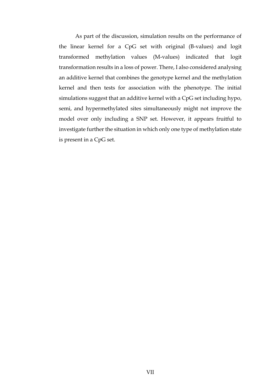As part of the discussion, simulation results on the performance of the linear kernel for a CpG set with original (B-values) and logit transformed methylation values (M-values) indicated that logit transformation results in a loss of power. There, I also considered analysing an additive kernel that combines the genotype kernel and the methylation kernel and then tests for association with the phenotype. The initial simulations suggest that an additive kernel with a CpG set including hypo, semi, and hypermethylated sites simultaneously might not improve the model over only including a SNP set. However, it appears fruitful to investigate further the situation in which only one type of methylation state is present in a CpG set.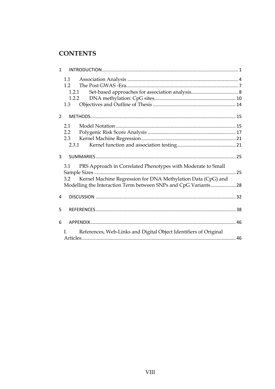# **CONTENTS**

| $\mathbf{1}$   |                                                                                                                                                                                                               |  |
|----------------|---------------------------------------------------------------------------------------------------------------------------------------------------------------------------------------------------------------|--|
|                | 1.1<br>12<br>1.2.1<br>1.2.2<br>1.3                                                                                                                                                                            |  |
| $\overline{2}$ |                                                                                                                                                                                                               |  |
|                | 2.1<br>2.2<br>2.3<br>2.3.1                                                                                                                                                                                    |  |
| 3              |                                                                                                                                                                                                               |  |
|                | PRS Approach in Correlated Phenotypes with Moderate to Small<br>3.1<br>Kernel Machine Regression for DNA Methylation Data (CpG) and<br>3.2<br>Modelling the Interaction Term between SNPs and CpG Variants 28 |  |
| 4              |                                                                                                                                                                                                               |  |
| 5              |                                                                                                                                                                                                               |  |
| 6              |                                                                                                                                                                                                               |  |
|                | $\mathbf{I}$<br>References, Web-Links and Digital Object Identifiers of Original                                                                                                                              |  |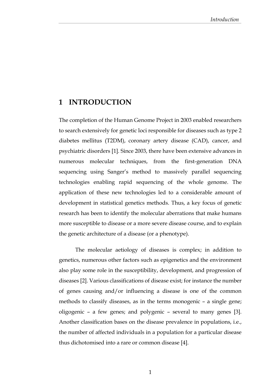# <span id="page-9-0"></span>**1 INTRODUCTION**

The completion of the Human Genome Project in 2003 enabled researchers to search extensively for genetic loci responsible for diseases such as type 2 diabetes mellitus (T2DM), coronary artery disease (CAD), cancer, and psychiatric disorders [1]. Since 2003, there have been extensive advances in numerous molecular techniques, from the first-generation DNA sequencing using Sanger's method to massively parallel sequencing technologies enabling rapid sequencing of the whole genome. The application of these new technologies led to a considerable amount of development in statistical genetics methods. Thus, a key focus of genetic research has been to identify the molecular aberrations that make humans more susceptible to disease or a more severe disease course, and to explain the genetic architecture of a disease (or a phenotype).

The molecular aetiology of diseases is complex; in addition to genetics, numerous other factors such as epigenetics and the environment also play some role in the susceptibility, development, and progression of diseases [2]. Various classifications of disease exist; for instance the number of genes causing and/or influencing a disease is one of the common methods to classify diseases, as in the terms monogenic – a single gene; oligogenic – a few genes; and polygenic – several to many genes [3]. Another classification bases on the disease prevalence in populations, i.e., the number of affected individuals in a population for a particular disease thus dichotomised into a rare or common disease [4].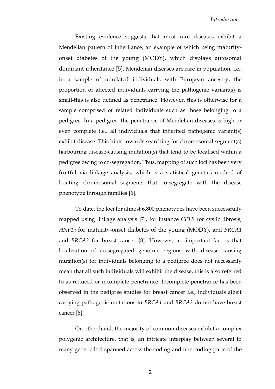Existing evidence suggests that most rare diseases exhibit a Mendelian pattern of inheritance, an example of which being maturityonset diabetes of the young (MODY), which displays autosomal dominant inheritance [5]. Mendelian diseases are rare in population, i.e., in a sample of unrelated individuals with European ancestry, the proportion of affected individuals carrying the pathogenic variant(s) is small-this is also defined as penetrance. However, this is otherwise for a sample comprised of related individuals such as those belonging to a pedigree. In a pedigree, the penetrance of Mendelian diseases is high or even complete i.e., all individuals that inherited pathogenic variant(s) exhibit disease. This hints towards searching for chromosomal segment(s) harbouring disease-causing mutation(s) that tend to be localised within a pedigree owing to co-segregation. Thus, mapping of such loci has been very fruitful via linkage analysis, which is a statistical genetics method of locating chromosomal segments that co-segregate with the disease phenotype through families [6].

To date, the loci for almost 6,800 phenotypes have been successfully mapped using linkage analysis [7], for instance *CFTR* for cystic fibrosis, *HNF1a* for maturity-onset diabetes of the young (MODY), and *BRCA1* and *BRCA2* for breast cancer [8]*.* However, an important fact is that localization of co-segregated genomic regions with disease causing mutation(s) for individuals belonging to a pedigree does not necessarily mean that all such individuals will exhibit the disease, this is also referred to as reduced or incomplete penetrance. Incomplete penetrance has been observed in the pedigree studies for breast cancer i.e., individuals albeit carrying pathogenic mutations in *BRCA1* and *BRCA2* do not have breast cancer [8].

On other hand, the majority of common diseases exhibit a complex polygenic architecture, that is, an intricate interplay between several to many genetic loci spanned across the coding and non-coding parts of the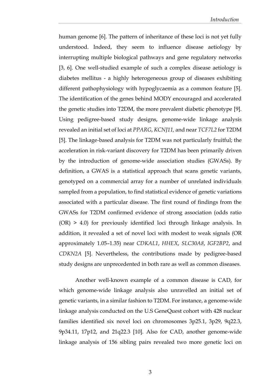human genome [6]. The pattern of inheritance of these loci is not yet fully understood. Indeed, they seem to influence disease aetiology by interrupting multiple biological pathways and gene regulatory networks [3, 6]. One well-studied example of such a complex disease aetiology is diabetes mellitus - a highly heterogeneous group of diseases exhibiting different pathophysiology with hypoglycaemia as a common feature [5]. The identification of the genes behind MODY encouraged and accelerated the genetic studies into T2DM, the more prevalent diabetic phenotype [9]. Using pedigree-based study designs, genome-wide linkage analysis revealed an initial set of loci at *PPARG*, *KCNJ11,* and near *TCF7L2* for T2DM [5]. The linkage‐based analysis for T2DM was not particularly fruitful; the acceleration in risk‐variant discovery for T2DM has been primarily driven by the introduction of genome-wide association studies (GWASs). By definition, a GWAS is a statistical approach that scans genetic variants, genotyped on a commercial array for a number of unrelated individuals sampled from a population, to find statistical evidence of genetic variations associated with a particular disease. The first round of findings from the GWASs for T2DM confirmed evidence of strong association (odds ratio (OR) > 4.0) for previously identified loci through linkage analysis. In addition, it revealed a set of novel loci with modest to weak signals (OR approximately 1.05–1.35) near *CDKAL1*, *HHEX*, *SLC30A8*, *IGF2BP2*, and *CDKN2A* [5]. Nevertheless, the contributions made by pedigree-based study designs are unprecedented in both rare as well as common diseases.

Another well-known example of a common disease is CAD, for which genome-wide linkage analysis also unravelled an initial set of genetic variants, in a similar fashion to T2DM. For instance, a genome-wide linkage analysis conducted on the U.S GeneQuest cohort with 428 nuclear families identified six novel loci on chromosomes 3p25.1, 3p29, 9q22.3, 9p34.11, 17p12, and 21q22.3 [10]. Also for CAD, another genome-wide linkage analysis of 156 sibling pairs revealed two more genetic loci on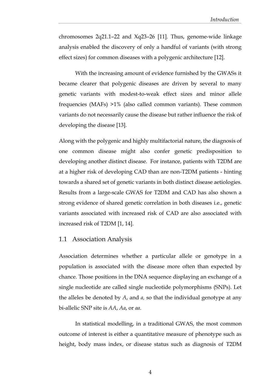chromosomes 2q21.1–22 and Xq23–26 [11]. Thus, genome-wide linkage analysis enabled the discovery of only a handful of variants (with strong effect sizes) for common diseases with a polygenic architecture [12].

With the increasing amount of evidence furnished by the GWASs it became clearer that polygenic diseases are driven by several to many genetic variants with modest-to-weak effect sizes and minor allele frequencies (MAFs) >1% (also called common variants). These common variants do not necessarily cause the disease but rather influence the risk of developing the disease [13].

Along with the polygenic and highly multifactorial nature, the diagnosis of one common disease might also confer genetic predisposition to developing another distinct disease. For instance, patients with T2DM are at a higher risk of developing CAD than are non-T2DM patients - hinting towards a shared set of genetic variants in both distinct disease aetiologies. Results from a large-scale GWAS for T2DM and CAD has also shown a strong evidence of shared genetic correlation in both diseases i.e., genetic variants associated with increased risk of CAD are also associated with increased risk of T2DM [1, 14].

#### <span id="page-12-0"></span>1.1 Association Analysis

Association determines whether a particular allele or genotype in a population is associated with the disease more often than expected by chance. Those positions in the DNA sequence displaying an exchange of a single nucleotide are called single nucleotide polymorphisms (SNPs). Let the alleles be denoted by *A*, and *a,* so that the individual genotype at any bi-allelic SNP site is *AA*, *Aa*, or *aa*.

In statistical modelling, in a traditional GWAS, the most common outcome of interest is either a quantitative measure of phenotype such as height, body mass index, or disease status such as diagnosis of T2DM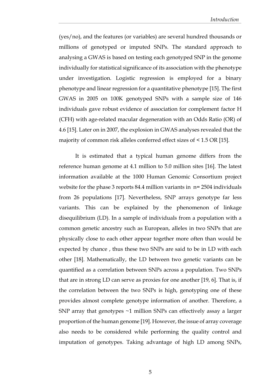(yes/no), and the features (or variables) are several hundred thousands or millions of genotyped or imputed SNPs. The standard approach to analysing a GWAS is based on testing each genotyped SNP in the genome individually for statistical significance of its association with the phenotype under investigation. Logistic regression is employed for a binary phenotype and linear regression for a quantitative phenotype [15]. The first GWAS in 2005 on 100K genotyped SNPs with a sample size of 146 individuals gave robust evidence of association for complement factor H (CFH) with age-related macular degeneration with an Odds Ratio (OR) of 4.6 [15]. Later on in 2007, the explosion in GWAS analyses revealed that the majority of common risk alleles conferred effect sizes of < 1.5 OR [15].

It is estimated that a typical human genome differs from the reference human genome at 4.1 million to 5.0 million sites [16]. The latest information available at the 1000 Human Genomic Consortium project website for the phase 3 reports 84.4 million variants in  $n= 2504$  individuals from 26 populations [17]. Nevertheless, SNP arrays genotype far less variants. This can be explained by the phenomenon of linkage disequilibrium (LD). In a sample of individuals from a population with a common genetic ancestry such as European, alleles in two SNPs that are physically close to each other appear together more often than would be expected by chance , thus these two SNPs are said to be in LD with each other [18]. Mathematically, the LD between two genetic variants can be quantified as a correlation between SNPs across a population. Two SNPs that are in strong LD can serve as proxies for one another [19, 6]. That is, if the correlation between the two SNPs is high, genotyping one of these provides almost complete genotype information of another. Therefore, a SNP array that genotypes ~1 million SNPs can effectively assay a larger proportion of the human genome [19]. However, the issue of array coverage also needs to be considered while performing the quality control and imputation of genotypes. Taking advantage of high LD among SNPs,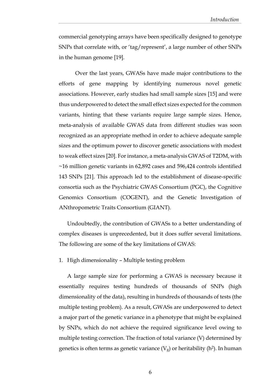commercial genotyping arrays have been specifically designed to genotype SNPs that correlate with, or 'tag/represent', a large number of other SNPs in the human genome [19].

Over the last years, GWASs have made major contributions to the efforts of gene mapping by identifying numerous novel genetic associations. However, early studies had small sample sizes [15] and were thus underpowered to detect the small effect sizes expected for the common variants, hinting that these variants require large sample sizes. Hence, meta-analysis of available GWAS data from different studies was soon recognized as an appropriate method in order to achieve adequate sample sizes and the optimum power to discover genetic associations with modest to weak effect sizes [20]. For instance, a meta-analysis GWAS of T2DM, with ~16 million genetic variants in 62,892 cases and 596,424 controls identified 143 SNPs [21]. This approach led to the establishment of disease-specific consortia such as the Psychiatric GWAS Consortium (PGC), the Cognitive Genomics Consortium (COGENT), and the Genetic Investigation of ANthropometric Traits Consortium (GIANT).

Undoubtedly, the contribution of GWASs to a better understanding of complex diseases is unprecedented, but it does suffer several limitations. The following are some of the key limitations of GWAS:

#### 1. High dimensionality – Multiple testing problem

A large sample size for performing a GWAS is necessary because it essentially requires testing hundreds of thousands of SNPs (high dimensionality of the data), resulting in hundreds of thousands of tests (the multiple testing problem). As a result, GWASs are underpowered to detect a major part of the genetic variance in a phenotype that might be explained by SNPs, which do not achieve the required significance level owing to multiple testing correction. The fraction of total variance (V) determined by genetics is often terms as genetic variance  $(V_g)$  or heritability (h<sup>2</sup>). In human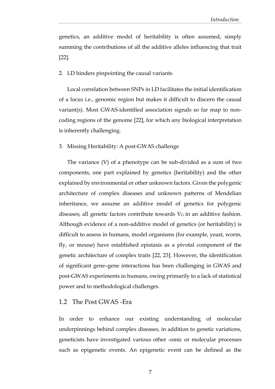genetics, an additive model of heritability is often assumed, simply summing the contributions of all the additive alleles influencing that trait [22].

#### 2. LD hinders pinpointing the causal variants

Local correlation between SNPs in LD facilitates the initial identification of a locus i.e., genomic region but makes it difficult to discern the causal variant(s). Most GWAS-identified association signals so far map to noncoding regions of the genome [22], for which any biological interpretation is inherently challenging.

#### 3. Missing Heritability: A post-GWAS challenge

The variance (V) of a phenotype can be sub-divided as a sum of two components, one part explained by genetics (heritability) and the other explained by environmental or other unknown factors. Given the polygenic architecture of complex diseases and unknown patterns of Mendelian inheritance, we assume an additive model of genetics for polygenic diseases; all genetic factors contribute towards  $V_G$  in an additive fashion. Although evidence of a non-additive model of genetics (or heritability) is difficult to assess in humans, model organisms (for example, yeast, worm, fly, or mouse) have established epistasis as a pivotal component of the genetic architecture of complex traits [22, 23]. However, the identification of significant gene–gene interactions has been challenging in GWAS and post-GWAS experiments in humans, owing primarily to a lack of statistical power and to methodological challenges.

#### <span id="page-15-0"></span>1.2 The Post GWAS -Era

In order to enhance our existing understanding of molecular underpinnings behind complex diseases, in addition to genetic variations, geneticists have investigated various other -omic or molecular processes such as epigenetic events. An epigenetic event can be defined as the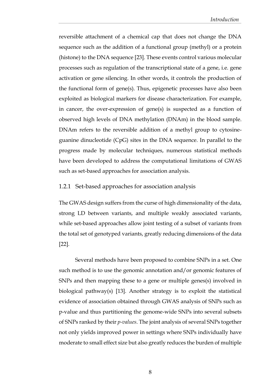reversible attachment of a chemical cap that does not change the DNA sequence such as the addition of a functional group (methyl) or a protein (histone) to the DNA sequence [23]. These events control various molecular processes such as regulation of the transcriptional state of a gene, i.e. gene activation or gene silencing. In other words, it controls the production of the functional form of gene(s). Thus, epigenetic processes have also been exploited as biological markers for disease characterization. For example, in cancer, the over-expression of gene(s) is suspected as a function of observed high levels of DNA methylation (DNAm) in the blood sample. DNAm refers to the reversible addition of a methyl group to cytosineguanine dinucleotide (CpG) sites in the DNA sequence. In parallel to the progress made by molecular techniques, numerous statistical methods have been developed to address the computational limitations of GWAS such as set-based approaches for association analysis.

#### <span id="page-16-0"></span>1.2.1 Set-based approaches for association analysis

The GWAS design suffers from the curse of high dimensionality of the data, strong LD between variants, and multiple weakly associated variants, while set-based approaches allow joint testing of a subset of variants from the total set of genotyped variants, greatly reducing dimensions of the data [22].

Several methods have been proposed to combine SNPs in a set. One such method is to use the genomic annotation and/or genomic features of SNPs and then mapping these to a gene or multiple genes(s) involved in biological pathway(s) [13]. Another strategy is to exploit the statistical evidence of association obtained through GWAS analysis of SNPs such as p-value and thus partitioning the genome-wide SNPs into several subsets of SNPs ranked by their *p-values*. The joint analysis of several SNPs together not only yields improved power in settings where SNPs individually have moderate to small effect size but also greatly reduces the burden of multiple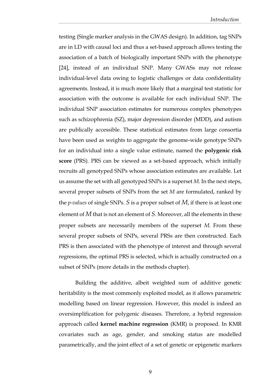testing (Single marker analysis in the GWAS design). In addition, tag SNPs are in LD with causal loci and thus a set-based approach allows testing the association of a batch of biologically important SNPs with the phenotype [24], instead of an individual SNP. Many GWASs may not release individual-level data owing to logistic challenges or data confidentiality agreements. Instead, it is much more likely that a marginal test statistic for association with the outcome is available for each individual SNP. The individual SNP association estimates for numerous complex phenotypes such as schizophrenia (SZ), major depression disorder (MDD), and autism are publically accessible. These statistical estimates from large consortia have been used as weights to aggregate the genome-wide genotype SNPs for an individual into a single value estimate, named the **polygenic risk score** (PRS). PRS can be viewed as a set-based approach, which initially recruits all genotyped SNPs whose association estimates are available. Let us assume the set with all genotyped SNPs is a superset *M*. In the next steps, several proper subsets of SNPs from the set *M* are formulated, ranked by the *p-values* of single SNPs. *S* is a proper subset of *M*, if there is at least one element of *M* that is not an element of *S*. Moreover, all the elements in these proper subsets are necessarily members of the superset *M.* From these several proper subsets of SNPs, several PRSs are then constructed. Each PRS is then associated with the phenotype of interest and through several regressions, the optimal PRS is selected, which is actually constructed on a subset of SNPs (more details in the methods chapter).

Building the additive, albeit weighted sum of additive genetic heritability is the most commonly exploited model, as it allows parametric modelling based on linear regression. However, this model is indeed an oversimplification for polygenic diseases. Therefore, a hybrid regression approach called **kernel machine regression** (KMR) is proposed. In KMR covariates such as age, gender, and smoking status are modelled parametrically, and the joint effect of a set of genetic or epigenetic markers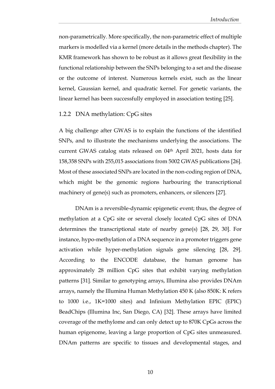non-parametrically. More specifically, the non-parametric effect of multiple markers is modelled via a kernel (more details in the methods chapter). The KMR framework has shown to be robust as it allows great flexibility in the functional relationship between the SNPs belonging to a set and the disease or the outcome of interest. Numerous kernels exist, such as the linear kernel, Gaussian kernel, and quadratic kernel. For genetic variants, the linear kernel has been successfully employed in association testing [25].

#### <span id="page-18-0"></span>1.2.2 DNA methylation: CpG sites

A big challenge after GWAS is to explain the functions of the identified SNPs, and to illustrate the mechanisms underlying the associations. The current GWAS catalog stats released on 04<sup>th</sup> April 2021, hosts data for 158,358 SNPs with 255,015 associations from 5002 GWAS publications [26]. Most of these associated SNPs are located in the non-coding region of DNA, which might be the genomic regions harbouring the transcriptional machinery of gene(s) such as promoters, enhancers, or silencers [27].

DNAm is a reversible-dynamic epigenetic event; thus, the degree of methylation at a CpG site or several closely located CpG sites of DNA determines the transcriptional state of nearby gene(s) [28, 29, 30]. For instance, hypo-methylation of a DNA sequence in a promoter triggers gene activation while hyper-methylation signals gene silencing [28, 29]. According to the ENCODE database, the human genome has approximately 28 million CpG sites that exhibit varying methylation patterns [31]. Similar to genotyping arrays, Illumina also provides DNAm arrays, namely the Illumina Human Methylation 450 K (also 850K: K refers to 1000 i.e., 1K=1000 sites) and Infinium Methylation EPIC (EPIC) BeadChips (Illumina Inc, San Diego, CA) [32]. These arrays have limited coverage of the methylome and can only detect up to 870K CpGs across the human epigenome, leaving a large proportion of CpG sites unmeasured. DNAm patterns are specific to tissues and developmental stages, and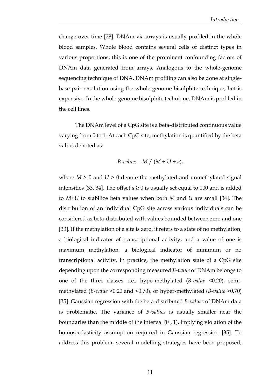change over time [28]. DNAm via arrays is usually profiled in the whole blood samples. Whole blood contains several cells of distinct types in various proportions; this is one of the prominent confounding factors of DNAm data generated from arrays. Analogous to the whole-genome sequencing technique of DNA, DNAm profiling can also be done at singlebase-pair resolution using the whole-genome bisulphite technique, but is expensive. In the whole-genome bisulphite technique, DNAm is profiled in the cell lines.

The DNAm level of a CpG site is a beta-distributed continuous value varying from 0 to 1. At each CpG site, methylation is quantified by the beta value, denoted as:

B-value: = 
$$
M / (M + U + a)
$$
,

where  $M > 0$  and  $U > 0$  denote the methylated and unmethylated signal intensities [33, 34]. The offset  $a \ge 0$  is usually set equal to 100 and is added to *M*+*U* to stabilize beta values when both *M* and *U* are small [34]. The distribution of an individual CpG site across various individuals can be considered as beta-distributed with values bounded between zero and one [33]. If the methylation of a site is zero, it refers to a state of no methylation, a biological indicator of transcriptional activity; and a value of one is maximum methylation, a biological indicator of minimum or no transcriptional activity. In practice, the methylation state of a CpG site depending upon the corresponding measured *B-value* of DNAm belongs to one of the three classes, i.e., hypo-methylated (*B-value* <0.20), semimethylated (*B-value* >0.20 and <0.70), or hyper-methylated (*B-value* >0.70) [35]. Gaussian regression with the beta-distributed *B-values* of DNAm data is problematic. The variance of *B-values* is usually smaller near the boundaries than the middle of the interval  $(0, 1)$ , implying violation of the homoscedasticity assumption required in Gaussian regression [35]. To address this problem, several modelling strategies have been proposed,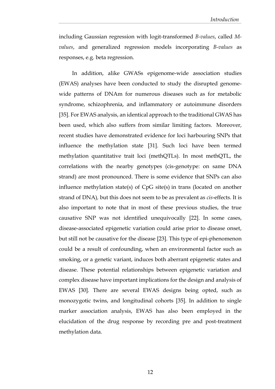including Gaussian regression with logit-transformed *B-values*, called *Mvalues*, and generalized regression models incorporating *B-values* as responses, e.g. beta regression.

In addition, alike GWASs epigenome-wide association studies (EWAS) analyses have been conducted to study the disrupted genomewide patterns of DNAm for numerous diseases such as for metabolic syndrome, schizophrenia, and inflammatory or autoimmune disorders [35]. For EWAS analysis, an identical approach to the traditional GWAS has been used, which also suffers from similar limiting factors. Moreover, recent studies have demonstrated evidence for loci harbouring SNPs that influence the methylation state [31]. Such loci have been termed methylation quantitative trait loci (methQTLs). In most methQTL, the correlations with the nearby genotypes (cis-genotype: on same DNA strand) are most pronounced. There is some evidence that SNPs can also influence methylation state(s) of CpG site(s) in trans (located on another strand of DNA)*,* but this does not seem to be as prevalent as *cis*-effects. It is also important to note that in most of these previous studies, the true causative SNP was not identified unequivocally [22]. In some cases, disease-associated epigenetic variation could arise prior to disease onset, but still not be causative for the disease [23]. This type of epi-phenomenon could be a result of confounding, when an environmental factor such as smoking, or a genetic variant, induces both aberrant epigenetic states and disease. These potential relationships between epigenetic variation and complex disease have important implications for the design and analysis of EWAS [30]. There are several EWAS designs being opted, such as monozygotic twins, and longitudinal cohorts [35]. In addition to single marker association analysis, EWAS has also been employed in the elucidation of the drug response by recording pre and post-treatment methylation data.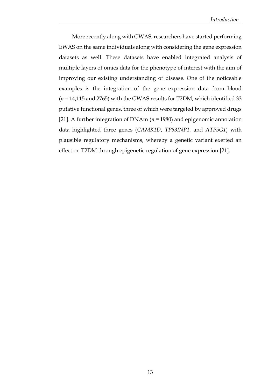More recently along with GWAS, researchers have started performing EWAS on the same individuals along with considering the gene expression datasets as well. These datasets have enabled integrated analysis of multiple layers of omics data for the phenotype of interest with the aim of improving our existing understanding of disease. One of the noticeable examples is the integration of the gene expression data from blood (*n* = 14,115 and 2765) with the GWAS results for T2DM, which identified 33 putative functional genes, three of which were targeted by approved drugs [21]. A further integration of DNAm (*n* = 1980) and epigenomic annotation data highlighted three genes (*CAMK1D*, *TP53INP1*, and *ATP5G1*) with plausible regulatory mechanisms, whereby a genetic variant exerted an effect on T2DM through epigenetic regulation of gene expression [21].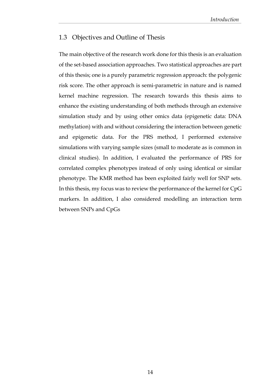## <span id="page-22-0"></span>1.3 Objectives and Outline of Thesis

The main objective of the research work done for this thesis is an evaluation of the set-based association approaches. Two statistical approaches are part of this thesis; one is a purely parametric regression approach: the polygenic risk score. The other approach is semi-parametric in nature and is named kernel machine regression. The research towards this thesis aims to enhance the existing understanding of both methods through an extensive simulation study and by using other omics data (epigenetic data: DNA methylation) with and without considering the interaction between genetic and epigenetic data. For the PRS method, I performed extensive simulations with varying sample sizes (small to moderate as is common in clinical studies). In addition, I evaluated the performance of PRS for correlated complex phenotypes instead of only using identical or similar phenotype. The KMR method has been exploited fairly well for SNP sets. In this thesis, my focus was to review the performance of the kernel for CpG markers. In addition, I also considered modelling an interaction term between SNPs and CpGs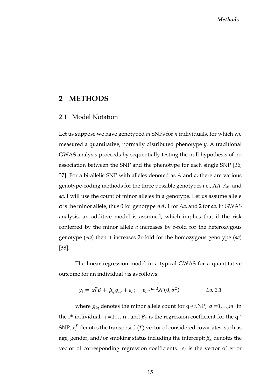## <span id="page-23-0"></span>**2 METHODS**

#### <span id="page-23-1"></span>2.1 Model Notation

Let us suppose we have genotyped *m* SNPs for *n* individuals, for which we measured a quantitative, normally distributed phenotype *y*. A traditional GWAS analysis proceeds by sequentially testing the null hypothesis of no association between the SNP and the phenotype for each single SNP [36, 37]. For a bi-allelic SNP with alleles denoted as *A* and *a*, there are various genotype-coding methods for the three possible genotypes i.e., *AA, Aa,* and *aa*. I will use the count of minor alleles in a genotype. Let us assume allele *a* is the minor allele, thus 0 for genotype *AA*, 1 for *Aa*, and 2 for *aa*. In GWAS analysis, an additive model is assumed, which implies that if the risk conferred by the minor allele *a* increases by r-fold for the heterozygous genotype (*Aa*) then it increases 2r-fold for the homozygous genotype (*aa*) [38].

The linear regression model in a typical GWAS for a quantitative outcome for an individual *i* is as follows:

$$
y_i = x_i^T \beta + \beta_q g_{iq} + \varepsilon_i; \quad \varepsilon_i \sim^{i.i.d} \mathcal{N}(0, \sigma^2) \qquad \text{Eq. 2.1}
$$

where  $g_{iq}$  denotes the minor allele count for q<sup>th</sup> SNP;  $q = 1, ..., m$  in the i<sup>th</sup> individual; i =1,...,n, and  $\beta_q$  is the regression coefficient for the  $q<sup>th</sup>$ SNP.  $x_i^T$  denotes the transposed (T) vector of considered covariates, such as age, gender, and/or smoking status including the intercept;  $\beta_x$  denotes the vector of corresponding regression coefficients.  $\varepsilon_i$  is the vector of error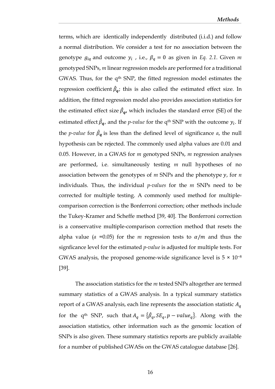terms, which are identically independently distributed (i.i.d.) and follow a normal distribution. We consider a test for no association between the genotype  $g_{iq}$  and outcome  $y_i$ , i.e.,  $\beta_q = 0$  as given in *Eq. 2.1*. Given *m* genotyped SNPs, *m* linear regression models are performed for a traditional GWAS. Thus, for the q<sup>th</sup> SNP, the fitted regression model estimates the regression coefficient  $\hat{\beta}_{\boldsymbol{q}}$ ; this is also called the estimated effect size. In addition, the fitted regression model also provides association statistics for the estimated effect size  $\hat{\beta}_q$ , which includes the standard error (SE) of the estimated effect  $\hat{\beta}_{\mathbf{q}}$ , and the *p-value* for the q<sup>th</sup> SNP with the outcome  $y_i$ . If the *p-value* for  $\hat{\beta}_q$  is less than the defined level of significance *a*, the null hypothesis can be rejected. The commonly used alpha values are 0.01 and 0.05. However, in a GWAS for *m* genotyped SNPs, *m* regression analyses are performed, i.e. simultaneously testing *m* null hypotheses of no association between the genotypes of *m* SNPs and the phenotype *y*, for *n* individuals. Thus, the individual *p-values* for the *m* SNPs need to be corrected for multiple testing. A commonly used method for multiplecomparison correction is the Bonferroni correction; other methods include the Tukey-Kramer and Scheffe method [39, 40]. The Bonferroni correction is a conservative multiple-comparison correction method that resets the alpha value ( $a = 0.05$ ) for the *m* regression tests to  $\alpha/m$  and thus the signficance level for the estimated *p-value* is adjusted for multiple tests. For GWAS analysis, the proposed genome-wide significance level is  $5 \times 10^{-8}$ [39].

The association statistics for the *m* tested SNPs altogether are termed summary statistics of a GWAS analysis. In a typical summary statistics report of a GWAS analysis, each line represents the association statistic  $A_q$ for the q<sup>th</sup> SNP, such that  $A_q = {\hat{\beta}_q, SE_q, p-value_q}$ . Along with the association statistics, other information such as the genomic location of SNPs is also given. These summary statistics reports are publicly available for a number of published GWASs on the GWAS catalogue database [26].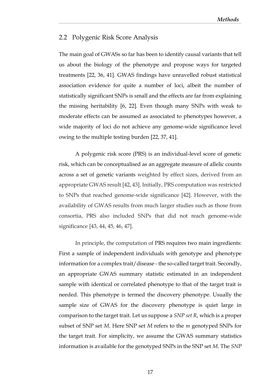## <span id="page-25-0"></span>2.2 Polygenic Risk Score Analysis

The main goal of GWASs so far has been to identify causal variants that tell us about the biology of the phenotype and propose ways for targeted treatments [22, 36, 41]. GWAS findings have unravelled robust statistical association evidence for quite a number of loci, albeit the number of statistically significant SNPs is small and the effects are far from explaining the missing heritability [6, 22]. Even though many SNPs with weak to moderate effects can be assumed as associated to phenotypes however, a wide majority of loci do not achieve any genome-wide significance level owing to the multiple testing burden [22, 37, 41].

A polygenic risk score (PRS) is an individual-level score of genetic risk, which can be conceptualised as an aggregate measure of allelic counts across a set of genetic variants weighted by effect sizes, derived from an appropriate GWAS result [42, 43]. Initially, PRS computation was restricted to SNPs that reached genome-wide significance [42]. However, with the availability of GWAS results from much larger studies such as those from consortia, PRS also included SNPs that did not reach genome-wide significance [43, 44, 45, 46, 47].

In principle, the computation of PRS requires two main ingredients: First a sample of independent individuals with genotype and phenotype information for a complex trait/disease - the so-called target trait. Secondly, an appropriate GWAS summary statistic estimated in an independent sample with identical or correlated phenotype to that of the target trait is needed. This phenotype is termed the discovery phenotype. Usually the sample size of GWAS for the discovery phenotype is quiet large in comparison to the target trait. Let us suppose a *SNP set R*, which is a proper subset of SNP set *M*. Here SNP set *M* refers to the *m* genotyped SNPs for the target trait. For simplicity, we assume the GWAS summary statistics information is available for the genotyped SNPs in the SNP set *M*. The *SNP*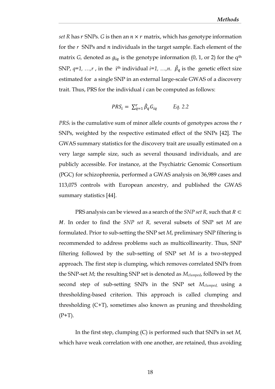*set R* has  $r$  SNPs. *G* is then an  $n \times r$  matrix, which has genotype information for the *r* SNPs and *n* individuals in the target sample. Each element of the matrix *G*, denoted as  $g_{iq}$  is the genotype information (0, 1, or 2) for the q<sup>th</sup> SNP,  $q=1$ , ...,*r*, in the i<sup>th</sup> individual  $i=1$ , ...,*n*.  $\hat{\beta}_q$  is the genetic effect size estimated for a single SNP in an external large-scale GWAS of a discovery trait. Thus, PRS for the individual  $i$  can be computed as follows:

$$
PRS_i = \sum_{q=1}^r \hat{\beta}_q G_{iq} \qquad Eq. 2.2
$$

*PRS<sup>i</sup>* is the cumulative sum of minor allele counts of genotypes across the *r* SNPs, weighted by the respective estimated effect of the SNPs [42]. The GWAS summary statistics for the discovery trait are usually estimated on a very large sample size, such as several thousand individuals, and are publicly accessible. For instance, at the Psychiatric Genomic Consortium (PGC) for schizophrenia, performed a GWAS analysis on 36,989 cases and 113,075 controls with European ancestry, and published the GWAS summary statistics [44].

PRS analysis can be viewed as a search of the *SNP set R*, such that  $R \subset$ *M*. In order to find the *SNP set R*, several subsets of *SNP* set *M* are formulated. Prior to sub-setting the SNP set *M*, preliminary SNP filtering is recommended to address problems such as multicollinearity. Thus, SNP filtering followed by the sub-setting of SNP set *M* is a two-stepped approach. The first step is clumping, which removes correlated SNPs from the SNP-set *M*; the resulting SNP set is denoted as *Mclumped*, followed by the second step of sub-setting SNPs in the SNP set *Mclumped,* using a thresholding-based criterion. This approach is called clumping and thresholding (C+T), sometimes also known as pruning and thresholding  $(P+T)$ .

In the first step, clumping (C) is performed such that SNPs in set *M,* which have weak correlation with one another, are retained, thus avoiding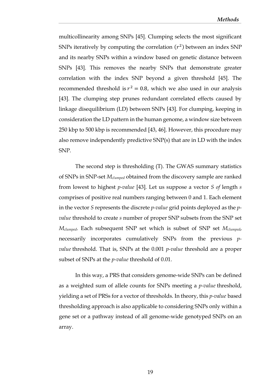multicollinearity among SNPs [45]. Clumping selects the most significant SNPs iteratively by computing the correlation  $(r^2)$  between an index SNP and its nearby SNPs within a window based on genetic distance between SNPs [43]. This removes the nearby SNPs that demonstrate greater correlation with the index SNP beyond a given threshold [45]. The recommended threshold is  $r^2 = 0.8$ , which we also used in our analysis [43]. The clumping step prunes redundant correlated effects caused by linkage disequilibrium (LD) between SNPs [43]. For clumping, keeping in consideration the LD pattern in the human genome, a window size between 250 kbp to 500 kbp is recommended [43, 46]. However, this procedure may also remove independently predictive SNP(s) that are in LD with the index SNP.

The second step is thresholding (T). The GWAS summary statistics of SNPs in SNP-set *Mclumped* obtained from the discovery sample are ranked from lowest to highest *p-value* [43]*.* Let us suppose a vector *S of* length *s* comprises of positive real numbers ranging between 0 and 1. Each element in the vector *S* represents the discrete *p-value* grid points deployed as the *pvalue* threshold to create *s* number of proper SNP subsets from the SNP set *Mclumped*. Each subsequent SNP set which is subset of SNP set *Mclumped*, necessarily incorporates cumulatively SNPs from the previous *pvalue* threshold. That is, SNPs at the 0.001 *p-value* threshold are a proper subset of SNPs at the *p-value* threshold of 0.01.

In this way, a PRS that considers genome-wide SNPs can be defined as a weighted sum of allele counts for SNPs meeting a *p-value* threshold, yielding a set of PRSs for a vector of thresholds. In theory, this *p-value* based thresholding approach is also applicable to considering SNPs only within a gene set or a pathway instead of all genome-wide genotyped SNPs on an array.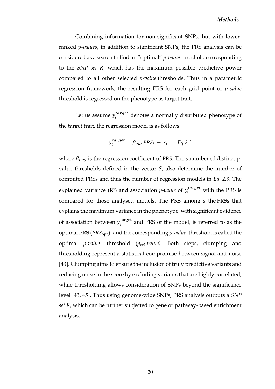Combining information for non-significant SNPs, but with lowerranked *p-values*, in addition to significant SNPs, the PRS analysis can be considered as a search to find an "optimal" *p-value* threshold corresponding to the *SNP set R*, which has the maximum possible predictive power compared to all other selected *p-value* thresholds. Thus in a parametric regression framework, the resulting PRS for each grid point or *p-value* threshold is regressed on the phenotype as target trait.

Let us assume  $y_i^{target}$  denotes a normally distributed phenotype of the target trait, the regression model is as follows:

$$
y_i^{target} = \beta_{PRS} PRS_i + \varepsilon_i \qquad Eq \ 2.3
$$

where  $\beta_{PRS}$  is the regression coefficient of PRS. The *s* number of distinct pvalue thresholds defined in the vector *S,* also determine the number of computed PRSs and thus the number of regression models in *Eq. 2.3.* The explained variance  $(R^2)$  and association *p-value* of  $y_i^{target}$  with the PRS is compared for those analysed models. The PRS among *s* the PRSs that explains the maximum variance in the phenotype, with significant evidence of association between  $y_i^{\text{target}}$  and PRS of the model, is referred to as the optimal PRS (*PRS*<sub>ont</sub>), and the corresponding *p-value* threshold is called the optimal *p-value* threshold (*popt-value).* Both steps, clumping and thresholding represent a statistical compromise between signal and noise [43]. Clumping aims to ensure the inclusion of truly predictive variants and reducing noise in the score by excluding variants that are highly correlated, while thresholding allows consideration of SNPs beyond the significance level [43, 45]. Thus using genome-wide SNPs, PRS analysis outputs a *SNP set R*, which can be further subjected to gene or pathway-based enrichment analysis.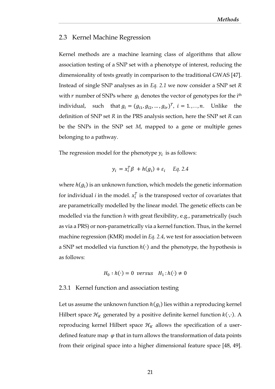## <span id="page-29-0"></span>2.3 Kernel Machine Regression

Kernel methods are a machine learning class of algorithms that allow association testing of a SNP set with a phenotype of interest, reducing the dimensionality of tests greatly in comparison to the traditional GWAS [47]. Instead of single SNP analyses as in *Eq. 2.1* we now consider a SNP set *R* with  $r$  number of SNPs where  $g_i$  denotes the vector of genotypes for the i<sup>th</sup> individual, such that  $g_i = (g_{i1}, g_{i2}, ..., g_{ir})^T$ ,  $i = 1, ..., n$ . Unlike the definition of SNP set *R* in the PRS analysis section, here the SNP set *R* can be the SNPs in the SNP set *M*, mapped to a gene or multiple genes belonging to a pathway.

The regression model for the phenotype  $y_i$  is as follows:

$$
y_i = x_i^T \beta + h(g_i) + \varepsilon_i \quad Eq. 2.4
$$

where  $h(g_i)$  is an unknown function, which models the genetic information for individual *i* in the model.  $x_i^T$  is the transposed vector of covariates that are parametrically modelled by the linear model. The genetic effects can be modelled via the function *h* with great flexibility, e.g., parametrically (such as via a PRS) or non-parametrically via a kernel function. Thus, in the kernel machine regression (KMR) model in *Eq. 2.4*, we test for association between a SNP set modelled via function  $h(\cdot)$  and the phenotype, the hypothesis is as follows:

$$
H_0: h(\cdot) = 0 \text{ versus } H_1: h(\cdot) \neq 0
$$

#### <span id="page-29-1"></span>2.3.1 Kernel function and association testing

Let us assume the unknown function  $h(g_i)$  lies within a reproducing kernel Hilbert space  $\mathcal{H}_K$  generated by a positive definite kernel function  $k(\cdot,\cdot)$ . A reproducing kernel Hilbert space  $\mathcal{H}_K$  allows the specification of a userdefined feature map  $\varphi$  that in turn allows the transformation of data points from their original space into a higher dimensional feature space [48, 49].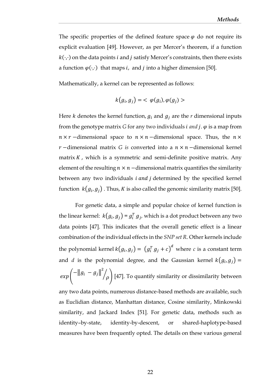The specific properties of the defined feature space  $\varphi$  do not require its explicit evaluation [49]. However, as per Mercer's theorem, if a function  $k(\cdot,\cdot)$  on the data points *i* and *j* satisfy Mercer's constraints, then there exists a function  $\varphi(\cdot,\cdot)$  that maps *i*, and *j* into a higher dimension [50].

Mathematically, a kernel can be represented as follows:

$$
k(g_i, g_j) = \langle \varphi(g_i), \varphi(g_j) \rangle
$$

Here *k* denotes the kernel function,  $g_i$  and  $g_j$  are the *r* dimensional inputs from the genotype matrix *G* for any two individuals *i and j.*  $\varphi$  is a map from  $n \times r$  –dimensional space to  $n \times n$  –dimensional space. Thus, the  $n \times r$ *r* −dimensional matrix *G* is converted into a  $n \times n$  −dimensional kernel matrix  $K$ , which is a symmetric and semi-definite positive matrix. Any element of the resulting  $n \times n$  –dimensional matrix quantifies the similarity between any two individuals  $i$  and  $j$  determined by the specified kernel function  $\ k\!\left( g_{i},g_{j}\right)$  . Thus,  $K$  is also called the genomic similarity matrix [50].

For genetic data, a simple and popular choice of kernel function is the linear kernel:  $k(g_i, g_j) = g_i^T g_j$ , which is a dot product between any two data points [47]. This indicates that the overall genetic effect is a linear combination of the individual effects in the *SNP set R*. Other kernels include the polynomial kernel  $k(g_i, g_j) = (g_i^T g_j + c)^d$  where  $c$  is a constant term and *d* is the polynomial degree, and the Gaussian kernel  $k(g_i, g_j)$  =  $\exp\left(-\|g_i-g_j\|^2\right)$  $\mathcal{O}(\rho)$  [47]. To quantify similarity or dissimilarity between any two data points, numerous distance-based methods are available, such as Euclidian distance, Manhattan distance, Cosine similarity, Minkowski similarity, and Jackard Index [51]. For genetic data, methods such as identity–by-state, identity-by-descent, or shared-haplotype-based measures have been frequently opted. The details on these various general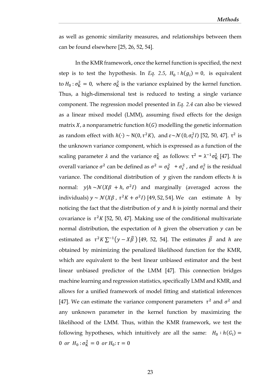as well as genomic similarity measures, and relationships between them can be found elsewhere [25, 26, 52, 54].

In the KMR framework, once the kernel function is specified, the next step is to test the hypothesis. In *Eq. 2.5,*  $H_0: h(g_i) = 0$ , is equivalent to  $H_0$ :  $\sigma_{\rm K}^2 = 0$ , where  $\sigma_{\rm K}^2$  is the variance explained by the kernel function. Thus, a high-dimensional test is reduced to testing a single variance component. The regression model presented in *Eq. 2.4* can also be viewed as a linear mixed model (LMM), assuming fixed effects for the design matrix  $X$ , a nonparametric function  $h(G)$  modelling the genetic information as random effect with  $h(\cdot) \sim N(0, \tau^2 K)$ , and  $\varepsilon \sim \mathcal{N}(0, \sigma_{\varepsilon}^2 I)$  [52, 50, 47].  $\tau^2$  is the unknown variance component, which is expressed as a function of the scaling parameter  $\lambda$  and the variance  $\sigma_K^2$  as follows:  $\tau^2 = \lambda^{-1} \sigma_K^2$  [47]. The overall variance  $\sigma^2$  can be defined as  $\sigma^2 = \sigma_K^2 + \sigma_\varepsilon^2$ , and  $\sigma_\varepsilon^2$  is the residual variance. The conditional distribution of  $y$  given the random effects  $h$  is normal:  $y|h \sim \mathcal{N}(X\beta + h, \sigma^2 I)$  and marginally (averaged across the individuals)  $y \sim \mathcal{N}(X\beta, \tau^2 K + \sigma^2 I)$  [49, 52, 54]. We can estimate h by noticing the fact that the distribution of  $y$  and  $h$  is jointly normal and their covariance is  $\tau^2 K$  [52, 50, 47]. Making use of the conditional multivariate normal distribution, the expectation of  $h$  given the observation  $y$  can be estimated as  $\tau^2 K \sum^{-1} (y - X\widehat{\beta})$  [49, 52, 54]. The estimates  $\widehat{\beta}$  and h are obtained by minimizing the penalized likelihood function for the KMR, which are equivalent to the best linear unbiased estimator and the best linear unbiased predictor of the LMM [47]. This connection bridges machine learning and regression statistics, specifically LMM and KMR, and allows for a unified framework of model fitting and statistical inferences [47]. We can estimate the variance component parameters  $\tau^2$  and  $\sigma^2$  and any unknown parameter in the kernel function by maximizing the likelihood of the LMM. Thus, within the KMR framework, we test the following hypotheses, which intuitively are all the same:  $H_0 : h(G_i) =$ 0 or  $H_0: \sigma_K^2 = 0$  or  $H_0: \tau = 0$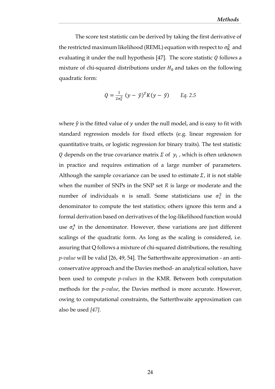The score test statistic can be derived by taking the first derivative of the restricted maximum likelihood (REML) equation with respect to  $\sigma_{\rm K}^2$  and evaluating it under the null hypothesis [47]. The score statistic  $Q$  follows a mixture of chi-squared distributions under  $H_0$  and takes on the following quadratic form:

$$
Q = \frac{1}{2\sigma_{\varepsilon}^2} (y - \hat{y})^T K (y - \hat{y}) \qquad Eq. 2.5
$$

where  $\hat{y}$  is the fitted value of  $y$  under the null model, and is easy to fit with standard regression models for fixed effects (e.g. linear regression for quantitative traits, or logistic regression for binary traits). The test statistic Q depends on the true covariance matrix  $\Sigma$  of  $y_i$ , which is often unknown in practice and requires estimation of a large number of parameters. Although the sample covariance can be used to estimate  $\Sigma$ , it is not stable when the number of SNPs in the SNP set *R* is large or moderate and the number of individuals *n* is small. Some statisticians use  $\sigma_{\varepsilon}^2$  in the denominator to compute the test statistics; others ignore this term and a formal derivation based on derivatives of the log-likelihood function would use  $\sigma_{\varepsilon}^4$  in the denominator. However, these variations are just different scalings of the quadratic form. As long as the scaling is considered, i.e. assuring that Q follows a mixture of chi-squared distributions, the resulting *p-value* will be valid [26, 49, 54]*.* The Satterthwaite approximation - an anticonservative approach and the Davies method- an analytical solution, have been used to compute *p-values* in the KMR. Between both computation methods for the *p-value*, the Davies method is more accurate. However, owing to computational constraints, the Satterthwaite approximation can also be used *[47]*.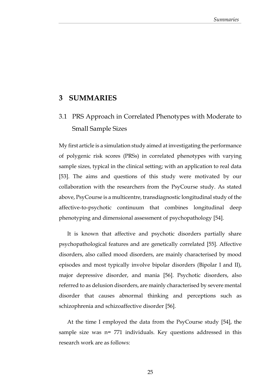# <span id="page-33-0"></span>**3 SUMMARIES**

# <span id="page-33-1"></span>3.1 PRS Approach in Correlated Phenotypes with Moderate to Small Sample Sizes

My first article is a simulation study aimed at investigating the performance of polygenic risk scores (PRSs) in correlated phenotypes with varying sample sizes, typical in the clinical setting; with an application to real data [53]. The aims and questions of this study were motivated by our collaboration with the researchers from the PsyCourse study. As stated above, PsyCourse is a multicentre, transdiagnostic longitudinal study of the affective‐to‐psychotic continuum that combines longitudinal deep phenotyping and dimensional assessment of psychopathology [54].

It is known that affective and psychotic disorders partially share psychopathological features and are genetically correlated [55]. Affective disorders, also called mood disorders, are mainly characterised by mood episodes and most typically involve bipolar disorders (Bipolar I and II), major depressive disorder, and mania [56]. Psychotic disorders, also referred to as delusion disorders, are mainly characterised by severe mental disorder that causes abnormal thinking and perceptions such as schizophrenia and schizoaffective disorder [56].

At the time I employed the data from the PsyCourse study [54], the sample size was n= 771 individuals. Key questions addressed in this research work are as follows: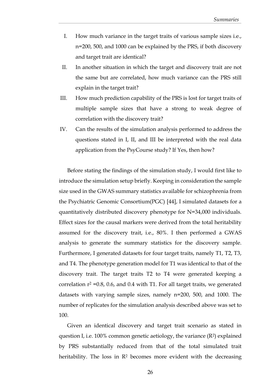- I. How much variance in the target traits of various sample sizes i.e., n=200, 500, and 1000 can be explained by the PRS, if both discovery and target trait are identical?
- II. In another situation in which the target and discovery trait are not the same but are correlated, how much variance can the PRS still explain in the target trait?
- III. How much prediction capability of the PRS is lost for target traits of multiple sample sizes that have a strong to weak degree of correlation with the discovery trait?
- IV. Can the results of the simulation analysis performed to address the questions stated in I, II, and III be interpreted with the real data application from the PsyCourse study? If Yes, then how?

Before stating the findings of the simulation study, I would first like to introduce the simulation setup briefly. Keeping in consideration the sample size used in the GWAS summary statistics available for schizophrenia from the Psychiatric Genomic Consortium(PGC) [44], I simulated datasets for a quantitatively distributed discovery phenotype for N=34,000 individuals. Effect sizes for the causal markers were derived from the total heritability assumed for the discovery trait, i.e., 80%. I then performed a GWAS analysis to generate the summary statistics for the discovery sample. Furthermore, I generated datasets for four target traits, namely T1, T2, T3, and T4. The phenotype generation model for T1 was identical to that of the discovery trait. The target traits T2 to T4 were generated keeping a correlation  $r^2$  =0.8, 0.6, and 0.4 with T1. For all target traits, we generated datasets with varying sample sizes, namely n=200, 500, and 1000. The number of replicates for the simulation analysis described above was set to 100.

Given an identical discovery and target trait scenario as stated in question I, i.e. 100% common genetic aetiology, the variance (R2) explained by PRS substantially reduced from that of the total simulated trait heritability. The loss in  $\mathbb{R}^2$  becomes more evident with the decreasing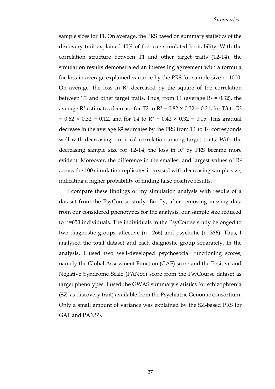sample sizes for T1. On average, the PRS based on summary statistics of the discovery trait explained 40% of the true simulated heritability. With the correlation structure between T1 and other target traits (T2-T4), the simulation results demonstrated an interesting agreement with a formula for loss in average explained variance by the PRS for sample size n=1000. On average, the loss in  $\mathbb{R}^2$  decreased by the square of the correlation between T1 and other target traits. Thus, from T1 (average  $R^2 = 0.32$ ), the average R<sup>2</sup> estimates decrease for T2 to R<sup>2</sup> =  $0.82 \times 0.32 = 0.21$ , for T3 to R<sup>2</sup>  $= 0.62 \times 0.32 = 0.12$ , and for T4 to R<sup>2</sup> = 0.42  $\times$  0.32 = 0.05. This gradual decrease in the average  $R^2$  estimates by the PRS from T1 to T4 corresponds well with decreasing empirical correlation among target traits. With the decreasing sample size for  $T2-T4$ , the loss in  $R<sup>2</sup>$  by PRS became more evident. Moreover, the difference in the smallest and largest values of  $\mathbb{R}^2$ across the 100 simulation replicates increased with decreasing sample size, indicating a higher probability of finding false positive results.

I compare these findings of my simulation analysis with results of a dataset from the PsyCourse study. Briefly, after removing missing data from our considered phenotypes for the analysis, our sample size reduced to n=653 individuals. The individuals in the PsyCourse study belonged to two diagnostic groups: affective (n= 266) and psychotic (n=386). Thus, I analysed the total dataset and each diagnostic group separately. In the analysis, I used two well-developed psychosocial functioning scores, namely the Global Assessment Function (GAF) score and the Positive and Negative Syndrome Scale (PANSS) score from the PsyCourse dataset as target phenotypes. I used the GWAS summary statistics for schizophrenia (SZ; as discovery trait) available from the Psychiatric Genomic consortium. Only a small amount of variance was explained by the SZ-based PRS for GAF and PANSS.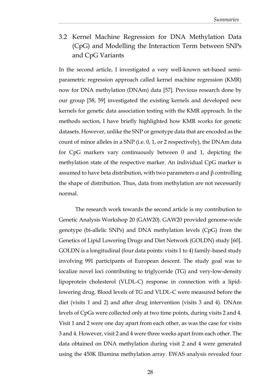<span id="page-36-0"></span>3.2 Kernel Machine Regression for DNA Methylation Data (CpG) and Modelling the Interaction Term between SNPs and CpG Variants

In the second article, I investigated a very well-known set-based semiparametric regression approach called kernel machine regression (KMR) now for DNA methylation (DNAm) data [57]. Previous research done by our group [58, 59] investigated the existing kernels and developed new kernels for genetic data association testing with the KMR approach. In the methods section, I have briefly highlighted how KMR works for genetic datasets. However, unlike the SNP or genotype data that are encoded as the count of minor alleles in a SNP (i.e. 0, 1, or 2 respectively), the DNAm data for CpG markers vary continuously between 0 and 1, depicting the methylation state of the respective marker. An individual CpG marker is assumed to have beta distribution, with two parameters α and β controlling the shape of distribution. Thus, data from methylation are not necessarily normal.

The research work towards the second article is my contribution to Genetic Analysis Workshop 20 (GAW20). GAW20 provided genome-wide genotype (bi-allelic SNPs) and DNA methylation levels (CpG) from the Genetics of Lipid Lowering Drugs and Diet Network (GOLDN) study [60]. GOLDN is a longitudinal (four data points: visits 1 to 4) family-based study involving 991 participants of European descent. The study goal was to localize novel loci contributing to triglyceride (TG) and very-low-density lipoprotein cholesterol (VLDL-C) response in connection with a lipidlowering drug. Blood levels of TG and VLDL-C were measured before the diet (visits 1 and 2) and after drug intervention (visits 3 and 4). DNAm levels of CpGs were collected only at two time points, during visits 2 and 4. Visit 1 and 2 were one day apart from each other, as was the case for visits 3 and 4. However, visit 2 and 4 were three weeks apart from each other. The data obtained on DNA methylation during visit 2 and 4 were generated using the 450K Illumina methylation array. EWAS analysis revealed four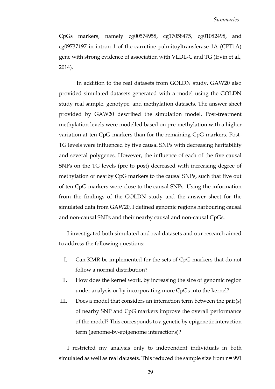CpGs markers, namely cg00574958, cg17058475, cg01082498, and cg09737197 in intron 1 of the carnitine palmitoyltransferase 1A (CPT1A) gene with strong evidence of association with VLDL-C and TG (Irvin et al., 2014).

In addition to the real datasets from GOLDN study, GAW20 also provided simulated datasets generated with a model using the GOLDN study real sample, genotype, and methylation datasets. The answer sheet provided by GAW20 described the simulation model. Post-treatment methylation levels were modelled based on pre-methylation with a higher variation at ten CpG markers than for the remaining CpG markers. Post-TG levels were influenced by five causal SNPs with decreasing heritability and several polygenes. However, the influence of each of the five causal SNPs on the TG levels (pre to post) decreased with increasing degree of methylation of nearby CpG markers to the causal SNPs, such that five out of ten CpG markers were close to the causal SNPs. Using the information from the findings of the GOLDN study and the answer sheet for the simulated data from GAW20, I defined genomic regions harbouring causal and non-causal SNPs and their nearby causal and non-causal CpGs.

I investigated both simulated and real datasets and our research aimed to address the following questions:

- I. Can KMR be implemented for the sets of CpG markers that do not follow a normal distribution?
- II. How does the kernel work, by increasing the size of genomic region under analysis or by incorporating more CpGs into the kernel?
- III. Does a model that considers an interaction term between the pair(s) of nearby SNP and CpG markers improve the overall performance of the model? This corresponds to a genetic by epigenetic interaction term (genome-by-epigenome interactions)?

I restricted my analysis only to independent individuals in both simulated as well as real datasets. This reduced the sample size from n= 991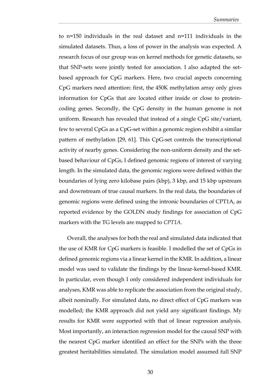to n=150 individuals in the real dataset and n=111 individuals in the simulated datasets. Thus, a loss of power in the analysis was expected. A research focus of our group was on kernel methods for genetic datasets, so that SNP-sets were jointly tested for association. I also adapted the setbased approach for CpG markers. Here, two crucial aspects concerning CpG markers need attention: first, the 450K methylation array only gives information for CpGs that are located either inside or close to proteincoding genes. Secondly, the CpG density in the human genome is not uniform. Research has revealed that instead of a single CpG site/variant, few to several CpGs as a CpG-set within a genomic region exhibit a similar pattern of methylation [29, 61]. This CpG-set controls the transcriptional activity of nearby genes. Considering the non-uniform density and the setbased behaviour of CpGs, I defined genomic regions of interest of varying length. In the simulated data, the genomic regions were defined within the boundaries of lying zero kilobase pairs (kbp), 3 kbp, and 15 kbp upstream and downstream of true causal markers. In the real data, the boundaries of genomic regions were defined using the intronic boundaries of CPT1A, as reported evidence by the GOLDN study findings for association of CpG markers with the TG levels are mapped to *CPT1A*.

Overall, the analyses for both the real and simulated data indicated that the use of KMR for CpG markers is feasible. I modelled the set of CpGs in defined genomic regions via a linear kernel in the KMR. In addition, a linear model was used to validate the findings by the linear-kernel-based KMR. In particular, even though I only considered independent individuals for analyses, KMR was able to replicate the association from the original study, albeit nominally. For simulated data, no direct effect of CpG markers was modelled; the KMR approach did not yield any significant findings. My results for KMR were supported with that of linear regression analysis. Most importantly, an interaction regression model for the causal SNP with the nearest CpG marker identified an effect for the SNPs with the three greatest heritabilities simulated. The simulation model assumed full SNP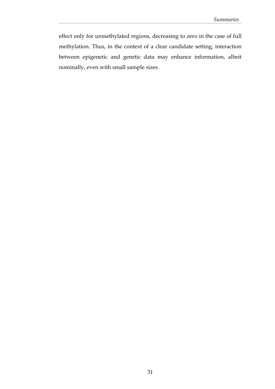effect only for unmethylated regions, decreasing to zero in the case of full methylation. Thus, in the context of a clear candidate setting, interaction between epigenetic and genetic data may enhance information, albeit nominally, even with small sample sizes.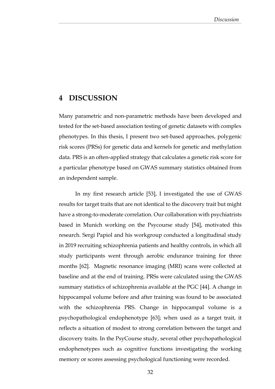## <span id="page-40-0"></span>**4 DISCUSSION**

Many parametric and non-parametric methods have been developed and tested for the set-based association testing of genetic datasets with complex phenotypes. In this thesis, I present two set-based approaches, polygenic risk scores (PRSs) for genetic data and kernels for genetic and methylation data. PRS is an often-applied strategy that calculates a genetic risk score for a particular phenotype based on GWAS summary statistics obtained from an independent sample.

In my first research article [53], I investigated the use of GWAS results for target traits that are not identical to the discovery trait but might have a strong-to-moderate correlation. Our collaboration with psychiatrists based in Munich working on the Psycourse study [54], motivated this research. Sergi Papiol and his workgroup conducted a longitudinal study in 2019 recruiting schizophrenia patients and healthy controls, in which all study participants went through aerobic endurance training for three months [62]. Magnetic resonance imaging (MRI) scans were collected at baseline and at the end of training. PRSs were calculated using the GWAS summary statistics of schizophrenia available at the PGC [44]. A change in hippocampal volume before and after training was found to be associated with the schizophrenia PRS. Change in hippocampal volume is a psychopathological endophenotype [63]; when used as a target trait, it reflects a situation of modest to strong correlation between the target and discovery traits. In the PsyCourse study, several other psychopathological endophenotypes such as cognitive functions investigating the working memory or scores assessing psychological functioning were recorded.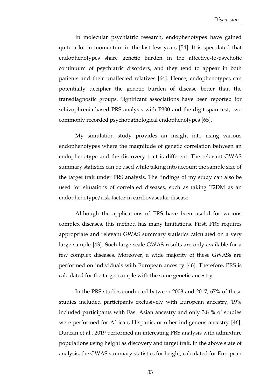In molecular psychiatric research, endophenotypes have gained quite a lot in momentum in the last few years [54]. It is speculated that endophenotypes share genetic burden in the affective-to-psychotic continuum of psychiatric disorders, and they tend to appear in both patients and their unaffected relatives [64]. Hence, endophenotypes can potentially decipher the genetic burden of disease better than the transdiagnostic groups. Significant associations have been reported for schizophrenia-based PRS analysis with P300 and the digit-span test, two commonly recorded psychopathological endophenotypes [65].

My simulation study provides an insight into using various endophenotypes where the magnitude of genetic correlation between an endophenotype and the discovery trait is different. The relevant GWAS summary statistics can be used while taking into account the sample size of the target trait under PRS analysis. The findings of my study can also be used for situations of correlated diseases, such as taking T2DM as an endophenotype/risk factor in cardiovascular disease.

Although the applications of PRS have been useful for various complex diseases, this method has many limitations. First, PRS requires appropriate and relevant GWAS summary statistics calculated on a very large sample [43]. Such large-scale GWAS results are only available for a few complex diseases. Moreover, a wide majority of these GWASs are performed on individuals with European ancestry [46]. Therefore, PRS is calculated for the target sample with the same genetic ancestry.

In the PRS studies conducted between 2008 and 2017, 67% of these studies included participants exclusively with European ancestry, 19% included participants with East Asian ancestry and only 3.8 % of studies were performed for African, Hispanic, or other indigenous ancestry [46]. Duncan et al., 2019 performed an interesting PRS analysis with admixture populations using height as discovery and target trait. In the above state of analysis, the GWAS summary statistics for height, calculated for European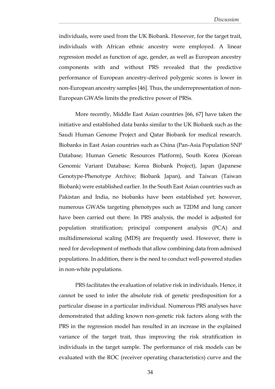individuals, were used from the UK Biobank. However, for the target trait, individuals with African ethnic ancestry were employed. A linear regression model as function of age, gender, as well as European ancestry components with and without PRS revealed that the predictive performance of European ancestry-derived polygenic scores is lower in non-European ancestry samples [46]. Thus, the underrepresentation of non-European GWASs limits the predictive power of PRSs.

More recently, Middle East Asian countries [66, 67] have taken the initiative and established data banks similar to the UK Biobank such as the Saudi Human Genome Project and Qatar Biobank for medical research. Biobanks in East Asian countries such as China (Pan-Asia Population SNP Database; Human Genetic Resources Platform), South Korea (Korean Genomic Variant Database; Korea Biobank Project), Japan (Japanese Genotype-Phenotype Archive; Biobank Japan), and Taiwan (Taiwan Biobank) were established earlier. In the South East Asian countries such as Pakistan and India, no biobanks have been established yet; however, numerous GWASs targeting phenotypes such as T2DM and lung cancer have been carried out there. In PRS analysis, the model is adjusted for population stratification; principal component analysis (PCA) and multidimensional scaling (MDS) are frequently used. However, there is need for development of methods that allow combining data from admixed populations. In addition, there is the need to conduct well-powered studies in non-white populations.

PRS facilitates the evaluation of relative risk in individuals. Hence, it cannot be used to infer the absolute risk of genetic predisposition for a particular disease in a particular individual. Numerous PRS analyses have demonstrated that adding known non-genetic risk factors along with the PRS in the regression model has resulted in an increase in the explained variance of the target trait, thus improving the risk stratification in individuals in the target sample. The performance of risk models can be evaluated with the ROC (receiver operating characteristics) curve and the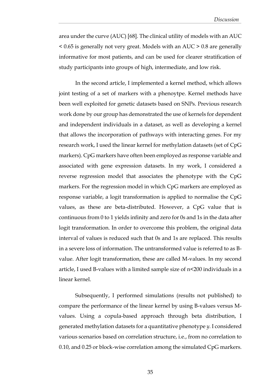area under the curve (AUC) [68]. The clinical utility of models with an AUC < 0.65 is generally not very great. Models with an AUC > 0.8 are generally informative for most patients, and can be used for clearer stratification of study participants into groups of high, intermediate, and low risk.

In the second article, I implemented a kernel method, which allows joint testing of a set of markers with a phenoytpe. Kernel methods have been well exploited for genetic datasets based on SNPs. Previous research work done by our group has demonstrated the use of kernels for dependent and independent individuals in a dataset, as well as developing a kernel that allows the incorporation of pathways with interacting genes. For my research work, I used the linear kernel for methylation datasets (set of CpG markers). CpG markers have often been employed as response variable and associated with gene expression datasets. In my work, I considered a reverse regression model that associates the phenotype with the CpG markers. For the regression model in which CpG markers are employed as response variable, a logit transformation is applied to normalise the CpG values, as these are beta-distributed. However, a CpG value that is continuous from 0 to 1 yields infinity and zero for 0s and 1s in the data after logit transformation. In order to overcome this problem, the original data interval of values is reduced such that 0s and 1s are replaced. This results in a severe loss of information. The untransformed value is referred to as Bvalue. After logit transformation, these are called M-values. In my second article, I used B-values with a limited sample size of n<200 individuals in a linear kernel.

Subsequently, I performed simulations (results not published) to compare the performance of the linear kernel by using B-values versus Mvalues. Using a copula-based approach through beta distribution, I generated methylation datasets for a quantitative phenotype *y.* I considered various scenarios based on correlation structure, i.e., from no correlation to 0.10, and 0.25 or block-wise correlation among the simulated CpG markers.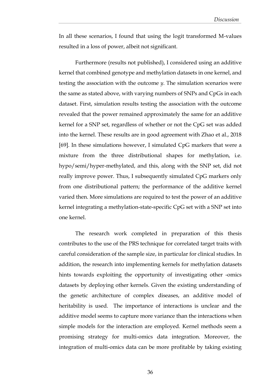In all these scenarios, I found that using the logit transformed M-values resulted in a loss of power, albeit not significant.

Furthermore (results not published), I considered using an additive kernel that combined genotype and methylation datasets in one kernel, and testing the association with the outcome *y*. The simulation scenarios were the same as stated above, with varying numbers of SNPs and CpGs in each dataset. First, simulation results testing the association with the outcome revealed that the power remained approximately the same for an additive kernel for a SNP set, regardless of whether or not the CpG set was added into the kernel. These results are in good agreement with Zhao et al., 2018 [69]. In these simulations however, I simulated CpG markers that were a mixture from the three distributional shapes for methylation, i.e. hypo/semi/hyper-methylated, and this, along with the SNP set, did not really improve power. Thus, I subsequently simulated CpG markers only from one distributional pattern; the performance of the additive kernel varied then. More simulations are required to test the power of an additive kernel integrating a methylation-state-specific CpG set with a SNP set into one kernel.

The research work completed in preparation of this thesis contributes to the use of the PRS technique for correlated target traits with careful consideration of the sample size, in particular for clinical studies. In addition, the research into implementing kernels for methylation datasets hints towards exploiting the opportunity of investigating other -omics datasets by deploying other kernels. Given the existing understanding of the genetic architecture of complex diseases, an additive model of heritability is used. The importance of interactions is unclear and the additive model seems to capture more variance than the interactions when simple models for the interaction are employed. Kernel methods seem a promising strategy for multi-omics data integration. Moreover, the integration of multi-omics data can be more profitable by taking existing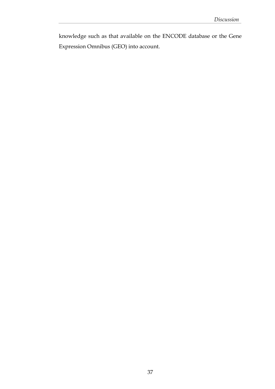knowledge such as that available on the ENCODE database or the Gene Expression Omnibus (GEO) into account.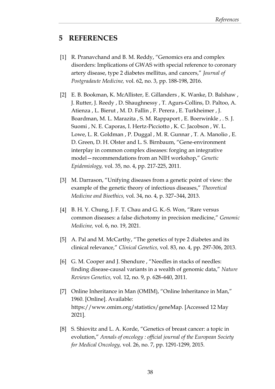# <span id="page-46-0"></span>**5 REFERENCES**

- [1] R. Pranavchand and B. M. Reddy, "Genomics era and complex disorders: Implications of GWAS with special reference to coronary artery disease, type 2 diabetes mellitus, and cancers," *Journal of Postgradaute Medicine,* vol. 62, no. 3, pp. 188-198, 2016.
- [2] E. B. Bookman, K. McAllister, E. Gillanders , K. Wanke, D. Balshaw , J. Rutter, J. Reedy , D. Shaughnessy , T. Agurs‐Collins, D. Paltoo, A. Atienza , L. Bierut , M. D. Fallin , F. Perera , E. Turkheimer , J. Boardman, M. L. Marazita , S. M. Rappaport , E. Boerwinkle , . S. J. Suomi , N. E. Caporas, I. Hertz‐Picciotto , K. C. Jacobson , W. L. Lowe, L. R. Goldman , P. Duggal , M. R. Gunnar , T. A. Manolio , E. D. Green, D. H. Olster and L. S. Birnbaum, "Gene‐environment interplay in common complex diseases: forging an integrative model—recommendations from an NIH workshop," *Genetic Epidemiology,* vol. 35, no. 4, pp. 217-225, 2011.
- [3] M. Darrason, "Unifying diseases from a genetic point of view: the example of the genetic theory of infectious diseases," *Theoretical Medicine and Bioethics,* vol. 34, no. 4, p. 327–344, 2013.
- [4] B. H. Y. Chung, J. F. T. Chau and G. K.-S. Won, "Rare versus common diseases: a false dichotomy in precision medicine," *Genomic Medicine,* vol. 6, no. 19, 2021.
- [5] A. Pal and M. McCarthy, "The genetics of type 2 diabetes and its clinical relevance," *Clinical Genetics,* vol. 83, no. 4, pp. 297-306, 2013.
- [6] G. M. Cooper and J. Shendure , "Needles in stacks of needles: finding disease-causal variants in a wealth of genomic data," *Nature Reviews Genetics,* vol. 12, no. 9, p. 628–640, 2011.
- [7] Online Inheritance in Man (OMIM), "Online Inheritance in Man," 1960. [Online]. Available: https://www.omim.org/statistics/geneMap. [Accessed 12 May 2021].
- [8] S. Shiovitz and L. A. Korde, "Genetics of breast cancer: a topic in evolution," *Annals of oncology : official journal of the European Society for Medical Oncology,* vol. 26, no. 7, pp. 1291-1299, 2015.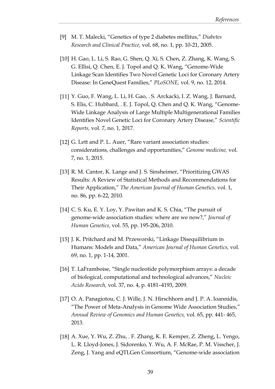- [9] M. T. Malecki, "Genetics of type 2 diabetes mellitus," *Diabetes Research and Clinical Practice,* vol. 68, no. 1, pp. 10-21, 2005.
- [10] H. Gao, L. Li, S. Rao, G. Shen, Q. Xi, S. Chen, Z. Zhang, K. Wang, S. G. Ellisi, Q. Chen, E. J. Topol and Q. K. Wang, "Genome-Wide Linkage Scan Identifies Two Novel Genetic Loci for Coronary Artery Disease: In GeneQuest Families," *PLoSONE,* vol. 9, no. 12, 2014.
- [11] Y. Guo, F. Wang, L. Li, H. Gao, . S. Arckacki, I. Z. Wang, J. Barnard, S. Elis, C. Hubbard, . E. J. Topol, Q. Chen and Q. K. Wang, "Genome-Wide Linkage Analysis of Large Multiple Multigenerational Families Identifies Novel Genetic Loci for Coronary Artery Disease," *Scientific Reports,* vol. 7, no. 1, 2017.
- [12] G. Lett and P. L. Auer, "Rare variant association studies: considerations, challenges and opportunities," *Genome medicine,* vol. 7, no. 1, 2015.
- [13] R. M. Cantor, K. Lange and J. S. Sinsheimer, "Prioritizing GWAS Results: A Review of Statistical Methods and Recommendations for Their Application," *The American Journal of Human Genetics,* vol. 1, no. 86, pp. 6-22, 2010.
- [14] C. S. Ku, E. Y. Loy, Y. Pawitan and K. S. Chia, "The pursuit of genome-wide association studies: where are we now?," *Journal of Human Genetics,* vol. 55, pp. 195-206, 2010.
- [15] J. K. Pritchard and M. Przeworski, "Linkage Disequilibrium in Humans: Models and Data," *American Journal of Human Genetics,* vol. 69, no. 1, pp. 1-14, 2001.
- [16] T. LaFramboise, "Single nucleotide polymorphism arrays: a decade of biological, computational and technological advances," *Nucleic Acids Research,* vol. 37, no. 4, p. 4181–4193, 2009.
- [17] O. A. Panagiotou, C. J. Wille, J. N. Hirschhorn and J. P. A. Ioannidis, "The Power of Meta-Analysis in Genome Wide Association Studies," *Annual Review of Genomics and Human Genetics,* vol. 65, pp. 441- 465, 2013.
- [18] A. Xue, Y. Wu, Z. Zhu, . F. Zhang, K. E. Kemper, Z. Zheng, L. Yengo, L. R. Lloyd-Jones, J. Sidorenko, Y. Wu, A. F. McRae, P. M. Visscher, J. Zeng, J. Yang and eQTLGen Consortium, "Genome-wide association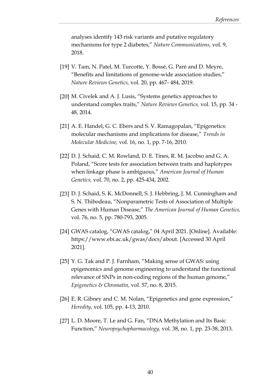analyses identify 143 risk variants and putative regulatory mechanisms for type 2 diabetes," *Nature Communications,* vol. 9, 2018.

- [19] V. Tam, N. Patel, M. Turcotte, Y. Bossé, G. Paré and D. Meyre, "Benefits and limitations of genome-wide association studies," *Nature Reviews Genetics,* vol. 20, pp. 467- 484, 2019.
- [20] M. Civelek and A. J. Lusis, "Systems genetics approaches to understand complex traits," *Nature Reviews Genetics,* vol. 15, pp. 34 - 48, 2014.
- [21] A. E. Handel, G. C. Ebers and S. V. Ramagopalan, "Epigenetics: molecular mechanisms and implications for disease," *Trends in Molecular Medicine,* vol. 16, no. 1, pp. 7-16, 2010.
- [22] D. J. Schaid, C. M. Rowland, D. E. Tines, R. M. Jacobso and G. A. Poland, "Score tests for association between traits and haplotypes when linkage phase is ambiguous," *American Journal of Human Genetics,* vol. 70, no. 2, pp. 425-434, 2002.
- [23] D. J. Schaid, S. K. McDonnell, S. J. Hebbring, J. M. Cunningham and S. N. Thibodeau, "Nonparametric Tests of Association of Multiple Genes with Human Disease," *The American Journal of Human Genetics,*  vol. 76, no. 5, pp. 780-793, 2005.
- [24] GWAS catalog, "GWAS catalog," 04 April 2021. [Online]. Available: https://www.ebi.ac.uk/gwas/docs/about. [Accessed 30 April 2021].
- [25] Y. G. Tak and P. J. Farnham, "Making sense of GWAS: using epigenomics and genome engineering to understand the functional relevance of SNPs in non-coding regions of the human genome," *Epigenetics & Chromatin,* vol. 57, no. 8, 2015.
- [26] E. R. Gibney and C. M. Nolan, "Epigenetics and gene expression," *Heredity,* vol. 105, pp. 4-13, 2010.
- [27] L. D. Moore, T. Le and G. Fan, "DNA Methylation and Its Basic Function," *Neuropsychopharmacology,* vol. 38, no. 1, pp. 23-38, 2013.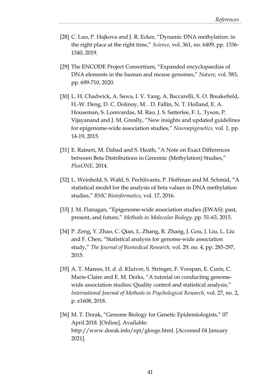- [28] C. Luo, P. Hajkova and J. R. Ecker, "Dynamic DNA methylation: in the right place at the right time," *Science,* vol. 361, no. 6409, pp. 1336- 1340, 2019.
- [29] The ENCODE Project Consortium, "Expanded encyclopaedias of DNA elements in the human and mouse genomes," *Nature,* vol. 583, pp. 699-710, 2020.
- [30] L. H. Chadwick, A. Sawa, I. V. Yang, A. Baccarelli, X. O. Breakefield, H.-W. Deng, D. C. Dolinoy, M. . D. Fallin, N. T. Holland, E. A. Houseman, S. Lomvardas, M. Rao, J. S. Satterlee, F. L. Tyson, P. Vijayanand and J. M. Greally, "New insights and updated guidelines for epigenome-wide association studies," *Neuroepigenetics,* vol. 1, pp. 14-19, 2015.
- [31] E. Raineri, M. Dabad and S. Heath, "A Note on Exact Differences between Beta Distributions in Genomic (Methylation) Studies," *PlosONE,* 2014.
- [32] L. Weinhold, S. Wahl, S. Pechlivanis, P. Hoffman and M. Schmid, "A statistical model for the analysis of beta values in DNA methylation studies," *BMC Bioinformatics,* vol. 17, 2016.
- [33] J. M. Flanagan, "Epigenome-wide association studies (EWAS): past, present, and future," *Methods in Molecular Biology,* pp. 51-63, 2015.
- [34] P. Zeng, Y. Zhao, C. Qian, L. Zhang, R. Zhang, J. Gou, J. Liu, L. Liu and F. Chen, "Statistical analysis for genome-wide association study," *The Journal of Biomedical Research,* vol. 29, no. 4, pp. 285-297, 2015.
- [35] A. T. Marees, H. d. d. Kluiver, S. Stringer, F. Vorspan, E. Curis, C. Marie-Claire and E. M. Derks, "A tutorial on conducting genomewide association studies: Quality control and statistical analysis," *International Journal of Methods in Psychological Research,* vol. 27, no. 2, p. e1608, 2018.
- [36] M. T. Dorak, "Genome Biology for Genetic Epidemiologists," 07 April 2018. [Online]. Available: http://www.dorak.info/epi/glosge.html. [Accessed 04 January 2021].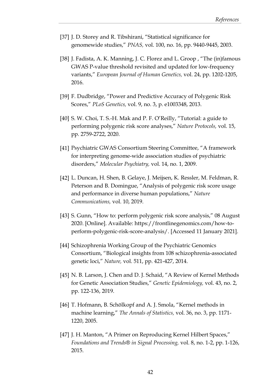- [37] J. D. Storey and R. Tibshirani, "Statistical significance for genomewide studies," *PNAS,* vol. 100, no. 16, pp. 9440-9445, 2003.
- [38] J. Fadista, A. K. Manning, J. C. Florez and L. Groop, "The (in)famous GWAS P-value threshold revisited and updated for low-frequency variants," *European Journal of Human Genetics,* vol. 24, pp. 1202-1205, 2016.
- [39] F. Dudbridge, "Power and Predictive Accuracy of Polygenic Risk Scores," *PLoS Genetics,* vol. 9, no. 3, p. e1003348, 2013.
- [40] S. W. Choi, T. S.-H. Mak and P. F. O'Reilly, "Tutorial: a guide to performing polygenic risk score analyses," *Nature Protocols,* vol. 15, pp. 2759-2722, 2020.
- [41] Psychiatric GWAS Consortium Steering Committee, "A framework for interpreting genome-wide association studies of psychiatric disorders," *Molecular Psychiatry,* vol. 14, no. 1, 2009.
- [42] L. Duncan, H. Shen, B. Gelaye, J. Meijsen, K. Ressler, M. Feldman, R. Peterson and B. Domingue, "Analysis of polygenic risk score usage and performance in diverse human populations," *Nature Communications,* vol. 10, 2019.
- [43] S. Gunn, "How to: perform polygenic risk score analysis," 08 August 2020. [Online]. Available: https://frontlinegenomics.com/how-toperform-polygenic-risk-score-analysis/. [Accessed 11 January 2021].
- [44] Schizophrenia Working Group of the Psychiatric Genomics Consortium, "Biological insights from 108 schizophrenia-associated genetic loci," *Nature,* vol. 511, pp. 421-427, 2014.
- [45] N. B. Larson, J. Chen and D. J. Schaid, "A Review of Kernel Methods for Genetic Association Studies," *Genetic Epidemiology,* vol. 43, no. 2, pp. 122-136, 2019.
- [46] T. Hofmann, B. Schölkopf and A. J. Smola, "Kernel methods in machine learning," *The Annals of Statistics,* vol. 36, no. 3, pp. 1171- 1220, 2005.
- [47] J. H. Manton, "A Primer on Reproducing Kernel Hilbert Spaces," *Foundations and Trends® in Signal Processing,* vol. 8, no. 1-2, pp. 1-126, 2015.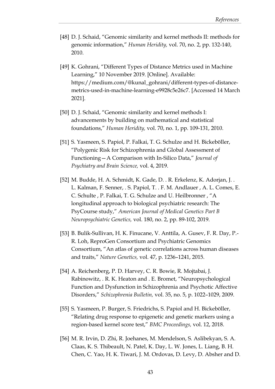- [48] D. J. Schaid, "Genomic similarity and kernel methods II: methods for genomic information," *Human Heridity,* vol. 70, no. 2, pp. 132-140, 2010.
- [49] K. Gohrani, "Different Types of Distance Metrics used in Machine Learning," 10 November 2019. [Online]. Available: https://medium.com/@kunal\_gohrani/different-types-of-distancemetrics-used-in-machine-learning-e9928c5e26c7. [Accessed 14 March 2021].
- [50] D. J. Schaid, "Genomic similarity and kernel methods I: advancements by building on mathematical and statistical foundations," *Human Heridity,* vol. 70, no. 1, pp. 109-131, 2010.
- [51] S. Yasmeen, S. Papiol, P. Falkai, T. G. Schulze and H. Bickeböller, "Polygenic Risk for Schizophrenia and Global Assessment of Functioning—A Comparison with In-Silico Data," *Journal of Psychiatry and Brain Science,* vol. 4, 2019.
- [52] M. Budde, H. A. Schmidt, K. Gade, D. . R. Erkelenz, K. Adorjan, J. . L. Kalman, F. Senner, . S. Papiol, T. . F. M. Andlauer , A. L. Comes, E. C. Schulte , P. Falkai, T. G. Schulze and U. Heilbronner , "A longitudinal approach to biological psychiatric research: The PsyCourse study," *American Journal of Medical Genetics Part B Neuropsychiatric Genetics,* vol. 180, no. 2, pp. 89-102, 2019.
- [53] B. Bulik-Sullivan, H. K. Finucane, V. Anttila, A. Gusev, F. R. Day, P.- R. Loh, ReproGen Consortium and Psychiatric Genomics Consortium, "An atlas of genetic correlations across human diseases and traits," *Nature Genetics,* vol. 47, p. 1236–1241, 2015.
- [54] A. Reichenberg, P. D. Harvey, C. R. Bowie, R. Mojtabai, J. Rabinowitz, . R. K. Heaton and . E. Bromet, "Neuropsychological Function and Dysfunction in Schizophrenia and Psychotic Affective Disorders," *Schizophrenia Bulletin,* vol. 35, no. 5, p. 1022–1029, 2009.
- [55] S. Yasmeen, P. Burger, S. Friedrichs, S. Papiol and H. Bickeböller, "Relating drug response to epigenetic and genetic markers using a region-based kernel score test," *BMC Proceedings,* vol. 12, 2018.
- [56] M. R. Irvin, D. Zhi, R. Joehanes, M. Mendelson, S. Aslibekyan, S. A. Claas, K. S. Thibeault, N. Patel, K. Day, L. W. Jones, L. Liang, B. H. Chen, C. Yao, H. K. Tiwari, J. M. Ordovas, D. Levy, D. Absher and D.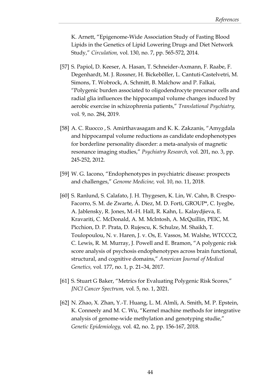K. Arnett, "Epigenome-Wide Association Study of Fasting Blood Lipids in the Genetics of Lipid Lowering Drugs and Diet Network Study," *Circulation,* vol. 130, no. 7, pp. 565-572, 2014.

- [57] S. Papiol, D. Keeser, A. Hasan, T. Schneider-Axmann, F. Raabe, F. Degenhardt, M. J. Rossner, H. Bickeböller, L. Cantuti-Castelvetri, M. Simons, T. Wobrock, A. Schmitt, B. Malchow and P. Falkai, "Polygenic burden associated to oligodendrocyte precursor cells and radial glia influences the hippocampal volume changes induced by aerobic exercise in schizophrenia patients," *Translational Psychiatry,*  vol. 9, no. 284, 2019.
- [58] A. C. Ruocco , S. Amirthavasagam and K. K. Zakzanis, "Amygdala and hippocampal volume reductions as candidate endophenotypes for borderline personality disorder: a meta-analysis of magnetic resonance imaging studies," *Psychiatry Research,* vol. 201, no. 3, pp. 245-252, 2012.
- [59] W. G. Iacono, "Endophenotypes in psychiatric disease: prospects and challenges," *Genome Medicine,* vol. 10, no. 11, 2018.
- [60] S. Ranlund, S. Calafato, J. H. Thygesen, K. Lin, W. Cahn, B. Crespo-Facorro, S. M. de Zwarte, Á. Díez, M. D. Forti, GROUP\*, C. Iyegbe, A. Jablensky, R. Jones, M.-H. Hall, R. Kahn, L. Kalaydjieva, E. Kravariti, C. McDonald, A. M. McIntosh, A. McQuillin, PEIC, M. Picchion, D. P. Prata, D. Rujescu, K. Schulze, M. Shaikh, T. Toulopoulou, N. v. Haren, J. v. Os, E. Vassos, M. Walshe, WTCCC2, C. Lewis, R. M. Murray, J. Powell and E. Bramon, "A polygenic risk score analysis of psychosis endophenotypes across brain functional, structural, and cognitive domains," *American Journal of Medical Genetics,* vol. 177, no. 1, p. 21–34, 2017.
- [61] S. Stuart G Baker, "Metrics for Evaluating Polygenic Risk Scores," *JNCI Cancer Spectrum,* vol. 5, no. 1, 2021.
- [62] N. Zhao, X. Zhan, Y.-T. Huang, L. M. Almli, A. Smith, M. P. Epstein, K. Conneely and M. C. Wu, "Kernel machine methods for integrative analysis of genome-wide methylation and genotyping studie," *Genetic Epidemiology,* vol. 42, no. 2, pp. 156-167, 2018.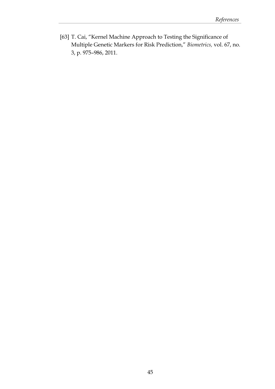[63] T. Cai, "Kernel Machine Approach to Testing the Significance of Multiple Genetic Markers for Risk Prediction," *Biometrics,* vol. 67, no. 3, p. 975–986, 2011.